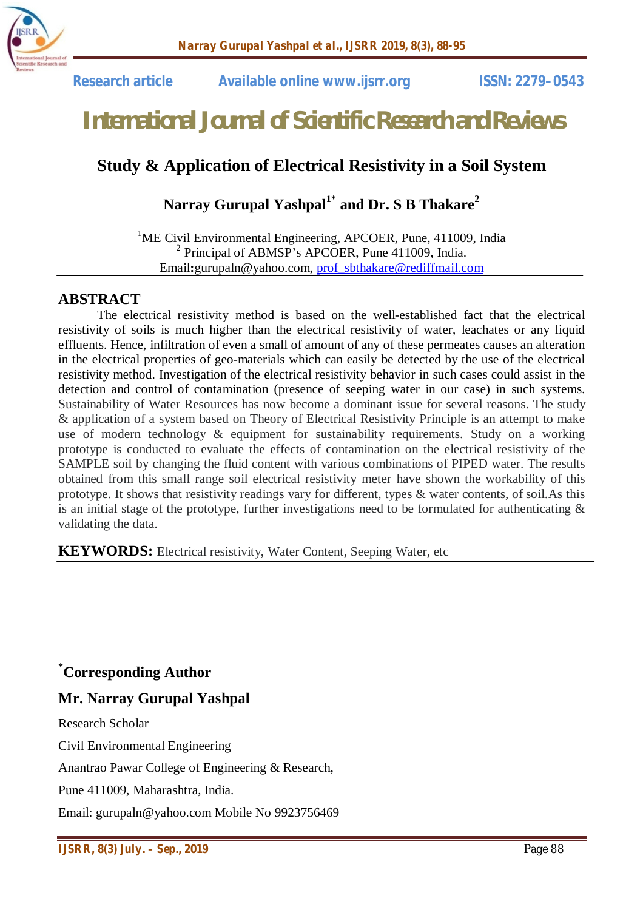

 **Research article Available online www.ijsrr.org ISSN: 2279–0543**

# *International Journal of Scientific Research and Reviews*

### **Study & Application of Electrical Resistivity in a Soil System**

### **Narray Gurupal Yashpal1\* and Dr. S B Thakare<sup>2</sup>**

<sup>1</sup>ME Civil Environmental Engineering, APCOER, Pune, 411009, India <sup>2</sup> Principal of ABMSP's APCOER, Pune 411009, India. Email**:**gurupaln@yahoo.com, prof\_sbthakare@rediffmail.com

#### **ABSTRACT**

The electrical resistivity method is based on the well-established fact that the electrical resistivity of soils is much higher than the electrical resistivity of water, leachates or any liquid effluents. Hence, infiltration of even a small of amount of any of these permeates causes an alteration in the electrical properties of geo-materials which can easily be detected by the use of the electrical resistivity method. Investigation of the electrical resistivity behavior in such cases could assist in the detection and control of contamination (presence of seeping water in our case) in such systems. Sustainability of Water Resources has now become a dominant issue for several reasons. The study & application of a system based on Theory of Electrical Resistivity Principle is an attempt to make use of modern technology & equipment for sustainability requirements. Study on a working prototype is conducted to evaluate the effects of contamination on the electrical resistivity of the SAMPLE soil by changing the fluid content with various combinations of PIPED water. The results obtained from this small range soil electrical resistivity meter have shown the workability of this prototype. It shows that resistivity readings vary for different, types & water contents, of soil.As this is an initial stage of the prototype, further investigations need to be formulated for authenticating  $\&$ validating the data.

**KEYWORDS:** Electrical resistivity, Water Content, Seeping Water, etc

**\*Corresponding Author**

#### **Mr. Narray Gurupal Yashpal**

Research Scholar

Civil Environmental Engineering

Anantrao Pawar College of Engineering & Research,

Pune 411009, Maharashtra, India.

Email: gurupaln@yahoo.com Mobile No 9923756469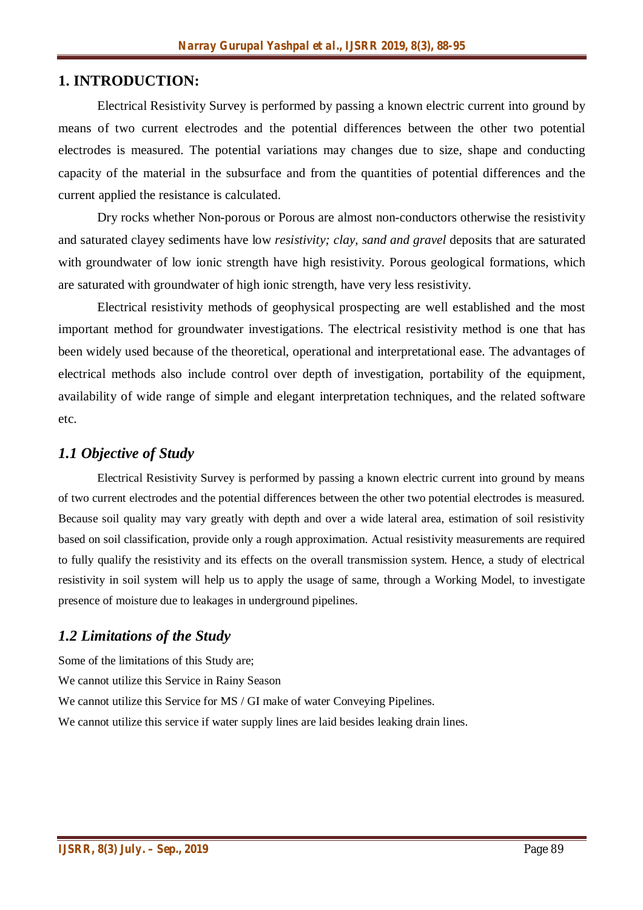#### **1. INTRODUCTION:**

Electrical Resistivity Survey is performed by passing a known electric current into ground by means of two current electrodes and the potential differences between the other two potential electrodes is measured. The potential variations may changes due to size, shape and conducting capacity of the material in the subsurface and from the quantities of potential differences and the current applied the resistance is calculated.

Dry rocks whether Non-porous or Porous are almost non-conductors otherwise the resistivity and saturated clayey sediments have low *resistivity; clay, sand and gravel* deposits that are saturated with groundwater of low ionic strength have high resistivity. Porous geological formations, which are saturated with groundwater of high ionic strength, have very less resistivity.

Electrical resistivity methods of geophysical prospecting are well established and the most important method for groundwater investigations. The electrical resistivity method is one that has been widely used because of the theoretical, operational and interpretational ease. The advantages of electrical methods also include control over depth of investigation, portability of the equipment, availability of wide range of simple and elegant interpretation techniques, and the related software etc.

#### *1.1 Objective of Study*

Electrical Resistivity Survey is performed by passing a known electric current into ground by means of two current electrodes and the potential differences between the other two potential electrodes is measured. Because soil quality may vary greatly with depth and over a wide lateral area, estimation of soil resistivity based on soil classification, provide only a rough approximation. Actual resistivity measurements are required to fully qualify the resistivity and its effects on the overall transmission system. Hence, a study of electrical resistivity in soil system will help us to apply the usage of same, through a Working Model, to investigate presence of moisture due to leakages in underground pipelines.

#### *1.2 Limitations of the Study*

Some of the limitations of this Study are; We cannot utilize this Service in Rainy Season We cannot utilize this Service for MS / GI make of water Conveying Pipelines. We cannot utilize this service if water supply lines are laid besides leaking drain lines.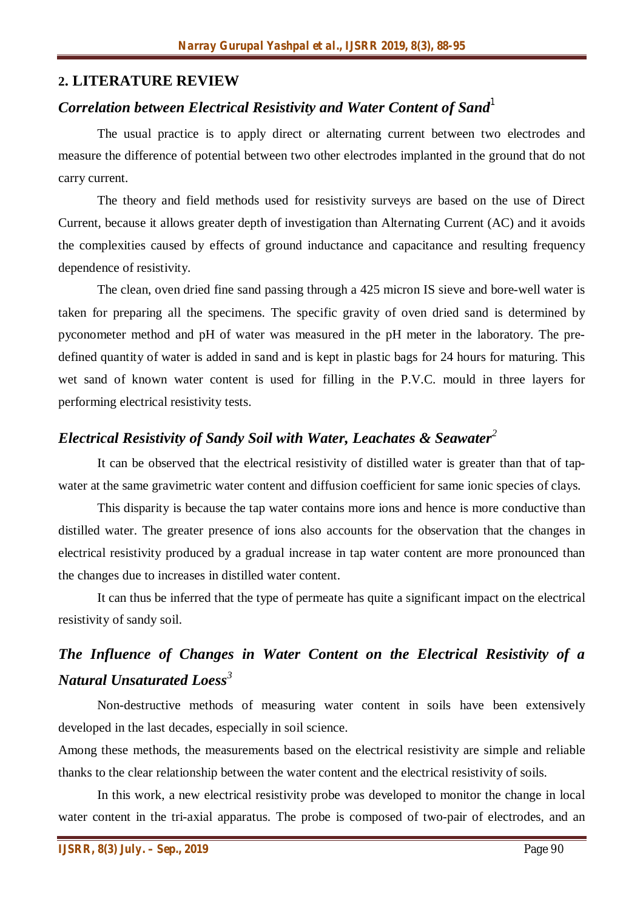#### **2. LITERATURE REVIEW**

## *Correlation between Electrical Resistivity and Water Content of Sand<sup>1</sup>*

The usual practice is to apply direct or alternating current between two electrodes and measure the difference of potential between two other electrodes implanted in the ground that do not carry current.

The theory and field methods used for resistivity surveys are based on the use of Direct Current, because it allows greater depth of investigation than Alternating Current (AC) and it avoids the complexities caused by effects of ground inductance and capacitance and resulting frequency dependence of resistivity.

The clean, oven dried fine sand passing through a 425 micron IS sieve and bore-well water is taken for preparing all the specimens. The specific gravity of oven dried sand is determined by pyconometer method and pH of water was measured in the pH meter in the laboratory. The predefined quantity of water is added in sand and is kept in plastic bags for 24 hours for maturing. This wet sand of known water content is used for filling in the P.V.C. mould in three layers for performing electrical resistivity tests.

#### *Electrical Resistivity of Sandy Soil with Water, Leachates & Seawater<sup>2</sup>*

It can be observed that the electrical resistivity of distilled water is greater than that of tapwater at the same gravimetric water content and diffusion coefficient for same ionic species of clays.

This disparity is because the tap water contains more ions and hence is more conductive than distilled water. The greater presence of ions also accounts for the observation that the changes in electrical resistivity produced by a gradual increase in tap water content are more pronounced than the changes due to increases in distilled water content.

It can thus be inferred that the type of permeate has quite a significant impact on the electrical resistivity of sandy soil.

## *The Influence of Changes in Water Content on the Electrical Resistivity of a Natural Unsaturated Loess<sup>3</sup>*

Non-destructive methods of measuring water content in soils have been extensively developed in the last decades, especially in soil science.

Among these methods, the measurements based on the electrical resistivity are simple and reliable thanks to the clear relationship between the water content and the electrical resistivity of soils.

In this work, a new electrical resistivity probe was developed to monitor the change in local water content in the tri-axial apparatus. The probe is composed of two-pair of electrodes, and an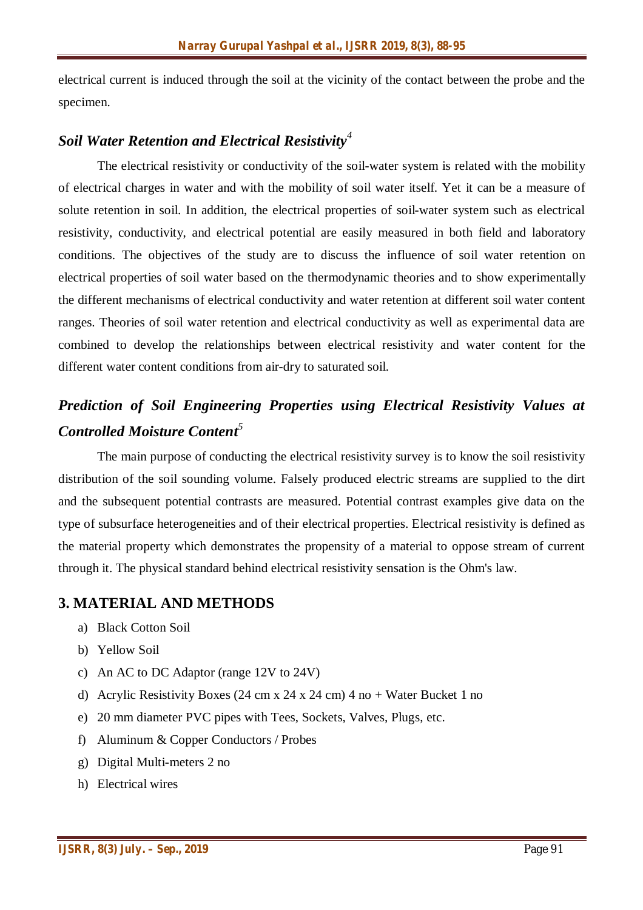electrical current is induced through the soil at the vicinity of the contact between the probe and the specimen.

#### *Soil Water Retention and Electrical Resistivity<sup>4</sup>*

The electrical resistivity or conductivity of the soil-water system is related with the mobility of electrical charges in water and with the mobility of soil water itself. Yet it can be a measure of solute retention in soil. In addition, the electrical properties of soil-water system such as electrical resistivity, conductivity, and electrical potential are easily measured in both field and laboratory conditions. The objectives of the study are to discuss the influence of soil water retention on electrical properties of soil water based on the thermodynamic theories and to show experimentally the different mechanisms of electrical conductivity and water retention at different soil water content ranges. Theories of soil water retention and electrical conductivity as well as experimental data are combined to develop the relationships between electrical resistivity and water content for the different water content conditions from air-dry to saturated soil.

### *Prediction of Soil Engineering Properties using Electrical Resistivity Values at Controlled Moisture Content<sup>5</sup>*

The main purpose of conducting the electrical resistivity survey is to know the soil resistivity distribution of the soil sounding volume. Falsely produced electric streams are supplied to the dirt and the subsequent potential contrasts are measured. Potential contrast examples give data on the type of subsurface heterogeneities and of their electrical properties. Electrical resistivity is defined as the material property which demonstrates the propensity of a material to oppose stream of current through it. The physical standard behind electrical resistivity sensation is the Ohm's law.

#### **3. MATERIAL AND METHODS**

- a) Black Cotton Soil
- b) Yellow Soil
- c) An AC to DC Adaptor (range 12V to 24V)
- d) Acrylic Resistivity Boxes (24 cm x 24 x 24 cm) 4 no + Water Bucket 1 no
- e) 20 mm diameter PVC pipes with Tees, Sockets, Valves, Plugs, etc.
- f) Aluminum & Copper Conductors / Probes
- g) Digital Multi-meters 2 no
- h) Electrical wires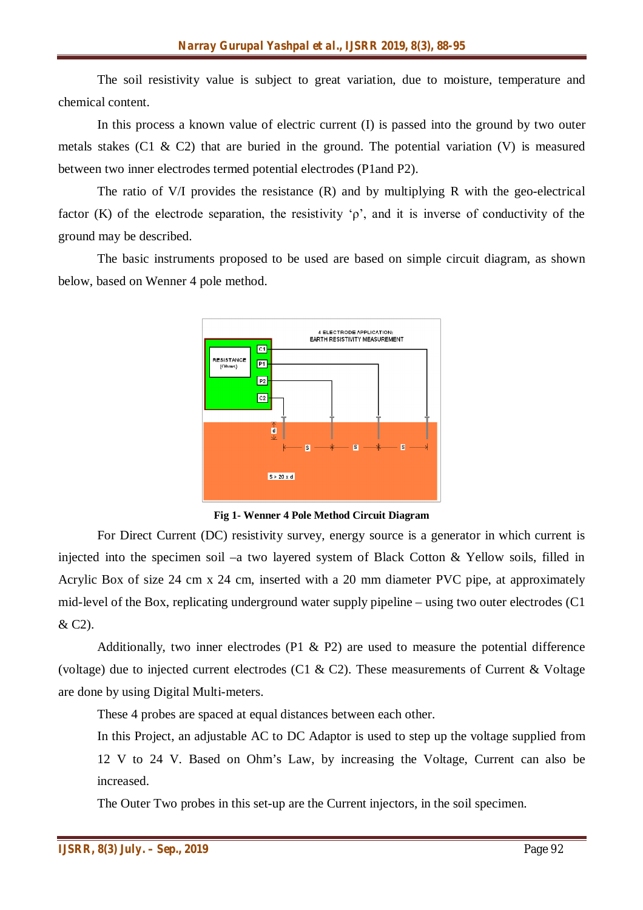The soil resistivity value is subject to great variation, due to moisture, temperature and chemical content.

In this process a known value of electric current (I) is passed into the ground by two outer metals stakes (C1 & C2) that are buried in the ground. The potential variation (V) is measured between two inner electrodes termed potential electrodes (P1and P2).

The ratio of V/I provides the resistance (R) and by multiplying R with the geo-electrical factor (K) of the electrode separation, the resistivity  $\varphi$ , and it is inverse of conductivity of the ground may be described.

The basic instruments proposed to be used are based on simple circuit diagram, as shown below, based on Wenner 4 pole method.



**Fig 1- Wenner 4 Pole Method Circuit Diagram**

For Direct Current (DC) resistivity survey, energy source is a generator in which current is injected into the specimen soil –a two layered system of Black Cotton & Yellow soils, filled in Acrylic Box of size 24 cm x 24 cm, inserted with a 20 mm diameter PVC pipe, at approximately mid-level of the Box, replicating underground water supply pipeline – using two outer electrodes (C1 & C2).

Additionally, two inner electrodes (P1 & P2) are used to measure the potential difference (voltage) due to injected current electrodes (C1 & C2). These measurements of Current & Voltage are done by using Digital Multi-meters.

These 4 probes are spaced at equal distances between each other.

In this Project, an adjustable AC to DC Adaptor is used to step up the voltage supplied from 12 V to 24 V. Based on Ohm's Law, by increasing the Voltage, Current can also be increased.

The Outer Two probes in this set-up are the Current injectors, in the soil specimen.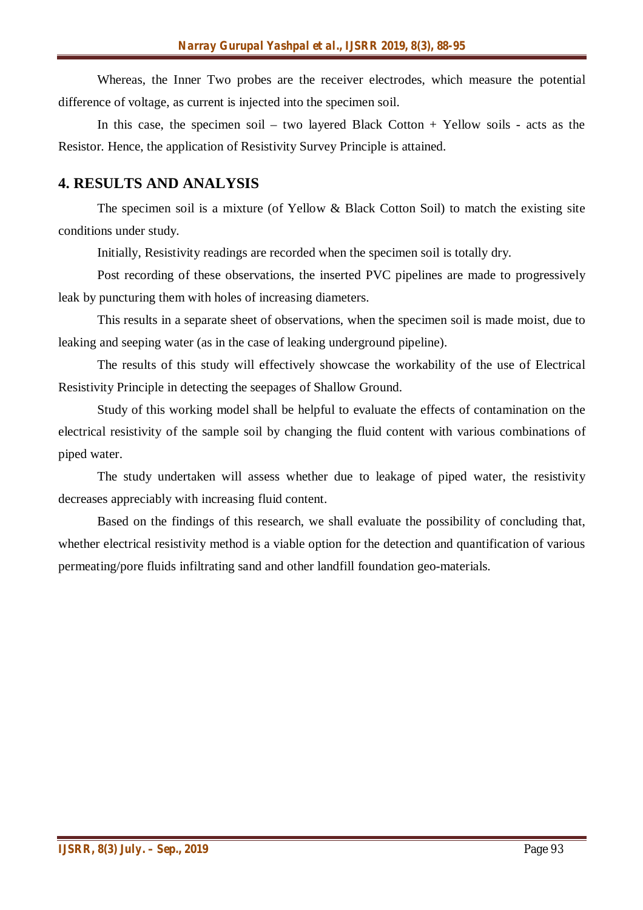Whereas, the Inner Two probes are the receiver electrodes, which measure the potential difference of voltage, as current is injected into the specimen soil.

In this case, the specimen soil – two layered Black Cotton  $+$  Yellow soils - acts as the Resistor. Hence, the application of Resistivity Survey Principle is attained.

#### **4. RESULTS AND ANALYSIS**

The specimen soil is a mixture (of Yellow & Black Cotton Soil) to match the existing site conditions under study.

Initially, Resistivity readings are recorded when the specimen soil is totally dry.

Post recording of these observations, the inserted PVC pipelines are made to progressively leak by puncturing them with holes of increasing diameters.

This results in a separate sheet of observations, when the specimen soil is made moist, due to leaking and seeping water (as in the case of leaking underground pipeline).

The results of this study will effectively showcase the workability of the use of Electrical Resistivity Principle in detecting the seepages of Shallow Ground.

Study of this working model shall be helpful to evaluate the effects of contamination on the electrical resistivity of the sample soil by changing the fluid content with various combinations of piped water.

The study undertaken will assess whether due to leakage of piped water, the resistivity decreases appreciably with increasing fluid content.

Based on the findings of this research, we shall evaluate the possibility of concluding that, whether electrical resistivity method is a viable option for the detection and quantification of various permeating/pore fluids infiltrating sand and other landfill foundation geo-materials.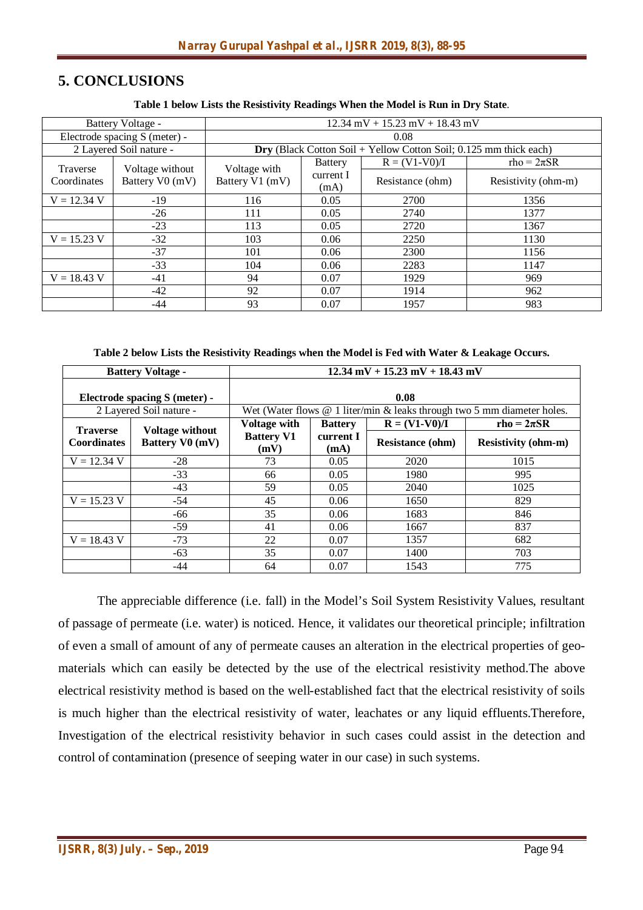### **5. CONCLUSIONS**

#### **Table 1 below Lists the Resistivity Readings When the Model is Run in Dry State**.

| Battery Voltage -             |                 | $12.34$ mV + $15.23$ mV + $18.43$ mV                                       |                   |                  |                     |  |  |
|-------------------------------|-----------------|----------------------------------------------------------------------------|-------------------|------------------|---------------------|--|--|
| Electrode spacing S (meter) - |                 | 0.08                                                                       |                   |                  |                     |  |  |
| 2 Layered Soil nature -       |                 | <b>Dry</b> (Black Cotton Soil + Yellow Cotton Soil; $0.125$ mm thick each) |                   |                  |                     |  |  |
| Traverse                      | Voltage without | Voltage with                                                               | <b>Battery</b>    | $R = (V1-V0)/I$  | $rho = 2\pi SR$     |  |  |
| Coordinates                   | Battery V0 (mV) | Battery V1 (mV)                                                            | current I<br>(mA) | Resistance (ohm) | Resistivity (ohm-m) |  |  |
| $V = 12.34 V$                 | $-19$           | 116                                                                        | 0.05              | 2700             | 1356                |  |  |
|                               | $-26$           | 111                                                                        | 0.05              | 2740             | 1377                |  |  |
|                               | $-23$           | 113                                                                        | 0.05              | 2720             | 1367                |  |  |
| $V = 15.23 V$                 | $-32$           | 103                                                                        | 0.06              | 2250             | 1130                |  |  |
|                               | $-37$           | 101                                                                        | 0.06              | 2300             | 1156                |  |  |
|                               | $-33$           | 104                                                                        | 0.06              | 2283             | 1147                |  |  |
| $V = 18.43 V$                 | -41             | 94                                                                         | 0.07              | 1929             | 969                 |  |  |
|                               | $-42$           | 92                                                                         | 0.07              | 1914             | 962                 |  |  |
|                               | $-44$           | 93                                                                         | 0.07              | 1957             | 983                 |  |  |

**Table 2 below Lists the Resistivity Readings when the Model is Fed with Water & Leakage Occurs.**

| <b>Battery Voltage -</b>              |                                                  | $12.34 \text{ mV} + 15.23 \text{ mV} + 18.43 \text{ mV}$                    |                   |                         |                            |  |
|---------------------------------------|--------------------------------------------------|-----------------------------------------------------------------------------|-------------------|-------------------------|----------------------------|--|
| Electrode spacing S (meter) -         |                                                  | 0.08                                                                        |                   |                         |                            |  |
| 2 Layered Soil nature -               |                                                  | Wet (Water flows $@$ 1 liter/min $&$ leaks through two 5 mm diameter holes. |                   |                         |                            |  |
| <b>Traverse</b><br><b>Coordinates</b> | <b>Voltage without</b><br><b>Battery V0 (mV)</b> | <b>Voltage with</b>                                                         | <b>Battery</b>    | $R = (V1-V0)/I$         | $rho = 2\pi SR$            |  |
|                                       |                                                  | <b>Battery V1</b><br>(mV)                                                   | current I<br>(mA) | <b>Resistance (ohm)</b> | <b>Resistivity (ohm-m)</b> |  |
| $V = 12.34 V$                         | $-28$                                            | 73                                                                          | 0.05              | 2020                    | 1015                       |  |
|                                       | $-33$                                            | 66                                                                          | 0.05              | 1980                    | 995                        |  |
|                                       | $-43$                                            | 59                                                                          | 0.05              | 2040                    | 1025                       |  |
| $V = 15.23 V$                         | $-54$                                            | 45                                                                          | 0.06              | 1650                    | 829                        |  |
|                                       | -66                                              | 35                                                                          | 0.06              | 1683                    | 846                        |  |
|                                       | $-59$                                            | 41                                                                          | 0.06              | 1667                    | 837                        |  |
| $V = 18.43$ V                         | $-73$                                            | 22                                                                          | 0.07              | 1357                    | 682                        |  |
|                                       | $-63$                                            | 35                                                                          | 0.07              | 1400                    | 703                        |  |
|                                       | -44                                              | 64                                                                          | 0.07              | 1543                    | 775                        |  |

The appreciable difference (i.e. fall) in the Model's Soil System Resistivity Values, resultant of passage of permeate (i.e. water) is noticed. Hence, it validates our theoretical principle; infiltration of even a small of amount of any of permeate causes an alteration in the electrical properties of geomaterials which can easily be detected by the use of the electrical resistivity method.The above electrical resistivity method is based on the well-established fact that the electrical resistivity of soils is much higher than the electrical resistivity of water, leachates or any liquid effluents.Therefore, Investigation of the electrical resistivity behavior in such cases could assist in the detection and control of contamination (presence of seeping water in our case) in such systems.